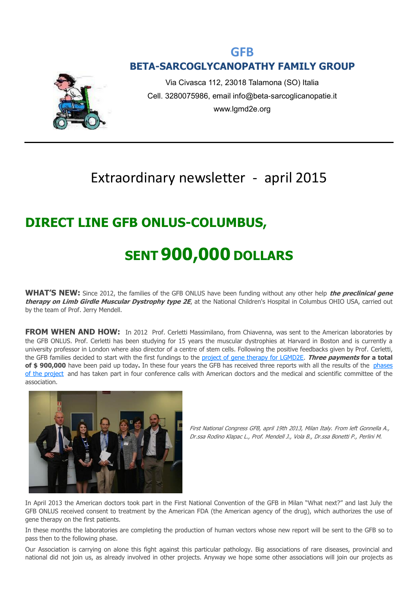## **GFB BETA-SARCOGLYCANOPATHY FAMILY GROUP**



Via Civasca 112, 23018 Talamona (SO) Italia Cell. 3280075986, email info@beta-sarcoglicanopatie.it www.lgmd2e.org

## Extraordinary newsletter - april 2015

## **DIRECT LINE GFB ONLUS-COLUMBUS,**

# **SENT 900,000 DOLLARS**

**WHAT'S NEW:** Since 2012, the families of the GFB ONLUS have been funding without any other help **the preclinical gene therapy on Limb Girdle Muscular Dystrophy type 2E**, at the National Children's Hospital in Columbus OHIO USA, carried out by the team of Prof. Jerry Mendell.

**FROM WHEN AND HOW:** In 2012 Prof. Cerletti Massimilano, from Chiavenna, was sent to the American laboratories by the GFB ONLUS. Prof. Cerletti has been studying for 15 years the muscular dystrophies at Harvard in Boston and is currently a university professor in London where also director of a centre of stem cells. Following the positive feedbacks given by Prof. Cerletti, the GFB families decided to start with the first fundings to the [project of gene therapy for LGMD2E.](http://www.beta-sarcoglicanopatie.it/index.php?option=com_content&view=article&id=166) **Three payments for a total of \$ 900,000** have been paid up today**.** In these four years the GFB has received three reports with all the results of the [phases](http://www.beta-sarcoglicanopatie.it/index.php?option=com_content&view=article&id=166)  [of the project](http://www.beta-sarcoglicanopatie.it/index.php?option=com_content&view=article&id=166) and has taken part in four conference calls with American doctors and the medical and scientific committee of the association.



First National Congress GFB, april 19th 2013, Milan Italy. From left Gonnella A., Dr.ssa Rodino Klapac L., Prof. Mendell J., Vola B., Dr.ssa Bonetti P., Perlini M.

In April 2013 the American doctors took part in the First National Convention of the GFB in Milan "What next?" and last July the GFB ONLUS received consent to treatment by the American FDA (the American agency of the drug), which authorizes the use of gene therapy on the first patients.

In these months the laboratories are completing the production of human vectors whose new report will be sent to the GFB so to pass then to the following phase.

Our Association is carrying on alone this fight against this particular pathology. Big associations of rare diseases, provincial and national did not join us, as already involved in other projects. Anyway we hope some other associations will join our projects as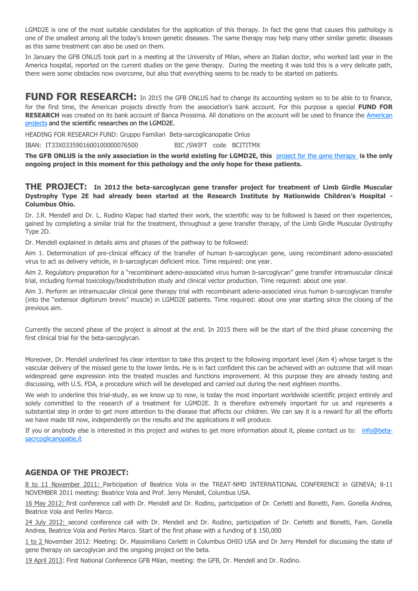LGMD2E is one of the most suitable candidates for the application of this therapy. In fact the gene that causes this pathology is one of the smallest among all the today's known genetic diseases. The same therapy may help many other similar genetic diseases as this same treatment can also be used on them.

In January the GFB ONLUS took part in a meeting at the University of Milan, where an Italian doctor, who worked last year in the America hospital, reported on the current studies on the gene therapy. During the meeting it was told this is a very delicate path, there were some obstacles now overcome, but also that everything seems to be ready to be started on patients.

#### **FUND FOR RESEARCH:** In 2015 the GFB ONLUS had to change its accounting system so to be able to to finance, for the first time, the American projects directly from the association's bank account. For this purpose a special **FUND FOR RESEARCH** was created on its bank account of Banca Prossima. All donations on the account will be used to finance the [American](http://www.beta-sarcoglicanopatie.it/index.php?option=com_content&view=article&id=166)  [projects](http://www.beta-sarcoglicanopatie.it/index.php?option=com_content&view=article&id=166) and the scientific researches on the LGMD2E.

HEADING FOR RESEARCH FUND: Gruppo Familiari Beta-sarcoglicanopatie Onlus

IBAN: IT33X0335901600100000076500 BIC /SWIFT code BCITITMX

**The GFB ONLUS is the only association in the world existing for LGMD2E, this** [project for the gene therapy](http://www.beta-sarcoglicanopatie.it/index.php?option=com_content&view=article&id=166) **is the only ongoing project in this moment for this pathology and the only hope for these patients.**

#### **THE PROJECT: In 2012 the beta-sarcoglycan gene transfer project for treatment of Limb Girdle Muscular Dystrophy Type 2E had already been started at the Research Institute by Nationwide Children's Hospital - Columbus Ohio.**

Dr. J.R. Mendell and Dr. L. Rodino Klapac had started their work, the scientific way to be followed is based on their experiences, gained by completing a similar trial for the treatment, throughout a gene transfer therapy, of the Limb Girdle Muscular Dystrophy Type 2D.

Dr. Mendell explained in details aims and phases of the pathway to be followed:

Aim 1. Determination of pre-clinical efficacy of the transfer of human b-sarcoglycan gene, using recombinant adeno-associated virus to act as delivery vehicle, in b-sarcoglycan deficient mice. Time required: one year.

Aim 2. Regulatory preparation for a "recombinant adeno-associated virus human b-sarcoglycan" gene transfer intramuscular clinical trial, including formal toxicology/biodistribution study and clinical vector production. Time required: about one year.

Aim 3. Perform an intramuscular clinical gene therapy trial with recombinant adeno-associated virus human b-sarcoglycan transfer (into the "extensor digitorum brevis" muscle) in LGMD2E patients. Time required: about one year starting since the closing of the previous aim.

Currently the second phase of the project is almost at the end. In 2015 there will be the start of the third phase concerning the first clinical trial for the beta-sarcoglycan.

Moreover, Dr. Mendell underlined his clear intention to take this project to the following important level (Aim 4) whose target is the vascular delivery of the missed gene to the lower limbs. He is in fact confident this can be achieved with an outcome that will mean widespread gene expression into the treated muscles and functions improvement. At this purpose they are already testing and discussing, with U.S. FDA, a procedure which will be developed and carried out during the next eighteen months.

We wish to underline this trial-study, as we know up to now, is today the most important worldwide scientific project entirely and solely committed to the research of a treatment for LGMD2E. It is therefore extremely important for us and represents a substantial step in order to get more attention to the disease that affects our children. We can say it is a reward for all the efforts we have made till now, independently on the results and the applications it will produce.

If you or anybody else is interested in this project and wishes to get more information about it, please contact us to: [info@beta](mailto:info@beta-sacrcoglicanopatie.it)[sacrcoglicanopatie.it](mailto:info@beta-sacrcoglicanopatie.it)

#### **AGENDA OF THE PROJECT:**

8 to 11 November 2011: Participation of Beatrice Vola in the TREAT-NMD INTERNATIONAL CONFERENCE in GENEVA; 8-11 NOVEMBER 2011 meeting: Beatrice Vola and Prof. Jerry Mendell, Columbus USA.

16 May 2012: first conference call with Dr. Mendell and Dr. Rodino, participation of Dr. Cerletti and Bonetti, Fam. Gonella Andrea, Beatrice Vola and Perlini Marco.

24 July 2012: second conference call with Dr. Mendell and Dr. Rodino, participation of Dr. Cerletti and Bonetti, Fam. Gonella Andrea, Beatrice Vola and Perlini Marco. Start of the first phase with a funding of \$150,000

1 to 2 November 2012: Meeting: Dr. Massimiliano Cerletti in Columbus OHIO USA and Dr Jerry Mendell for discussing the state of gene therapy on sarcoglycan and the ongoing project on the beta.

19 April 2013: First National Conference GFB Milan, meeting: the GFB, Dr. Mendell and Dr. Rodino.